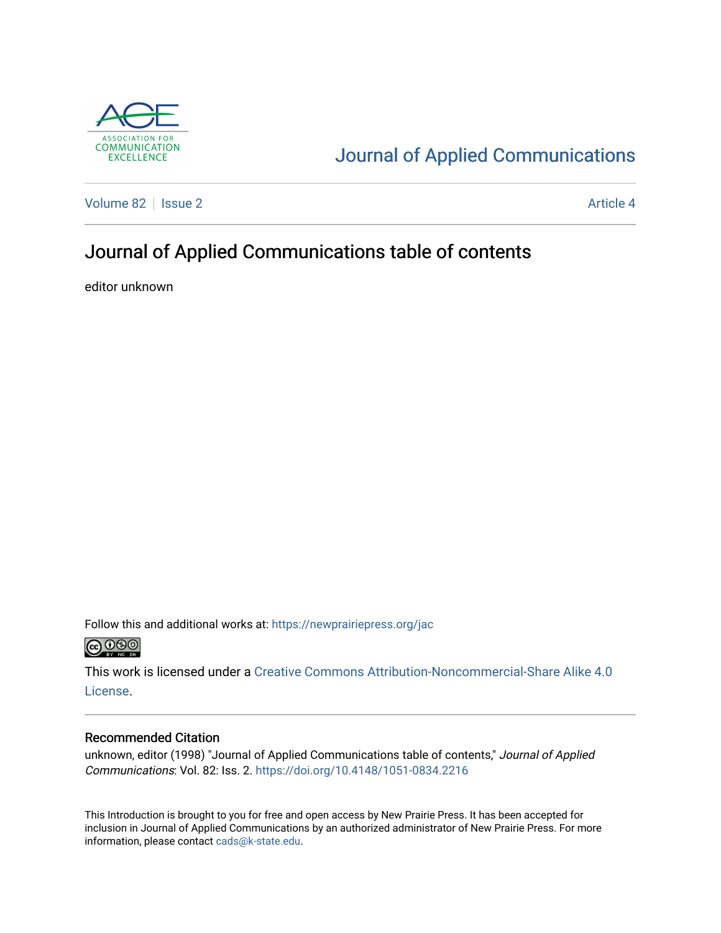

## [Journal of Applied Communications](https://newprairiepress.org/jac)

[Volume 82](https://newprairiepress.org/jac/vol82) | [Issue 2](https://newprairiepress.org/jac/vol82/iss2) Article 4

## Journal of Applied Communications table of contents

editor unknown

Follow this and additional works at: [https://newprairiepress.org/jac](https://newprairiepress.org/jac?utm_source=newprairiepress.org%2Fjac%2Fvol82%2Fiss2%2F4&utm_medium=PDF&utm_campaign=PDFCoverPages)  $\bigcirc$  0.90

This work is licensed under a [Creative Commons Attribution-Noncommercial-Share Alike 4.0](https://creativecommons.org/licenses/by-nc-sa/4.0/) [License.](https://creativecommons.org/licenses/by-nc-sa/4.0/)

#### Recommended Citation

unknown, editor (1998) "Journal of Applied Communications table of contents," Journal of Applied Communications: Vol. 82: Iss. 2.<https://doi.org/10.4148/1051-0834.2216>

This Introduction is brought to you for free and open access by New Prairie Press. It has been accepted for inclusion in Journal of Applied Communications by an authorized administrator of New Prairie Press. For more information, please contact [cads@k-state.edu](mailto:cads@k-state.edu).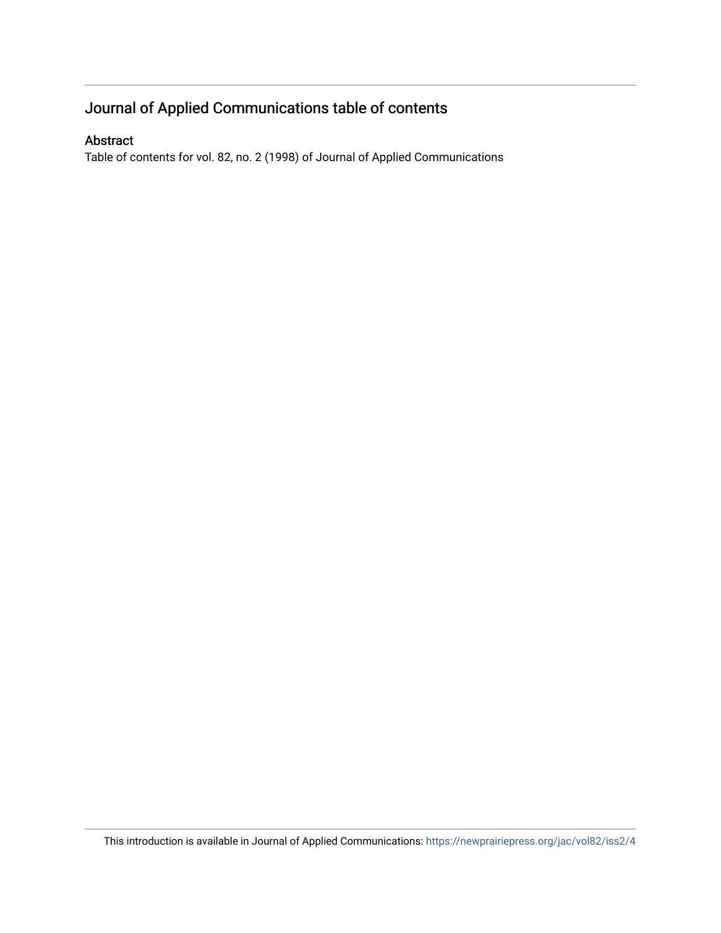### Journal of Applied Communications table of contents

#### Abstract

Table of contents for vol. 82, no. 2 (1998) of Journal of Applied Communications

This introduction is available in Journal of Applied Communications: <https://newprairiepress.org/jac/vol82/iss2/4>